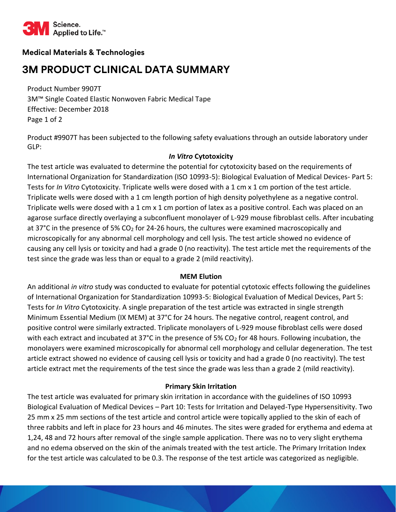

# **Medical Materials & Technologies**

# **3M PRODUCT CLINICAL DATA SUMMARY**

Product Number 9907T 3M™ Single Coated Elastic Nonwoven Fabric Medical Tape Effective: December 2018 Page 1 of 2

Product #9907T has been subjected to the following safety evaluations through an outside laboratory under GLP:

## *In Vitro* **Cytotoxicity**

The test article was evaluated to determine the potential for cytotoxicity based on the requirements of International Organization for Standardization (ISO 10993-5): Biological Evaluation of Medical Devices- Part 5: Tests for *In Vitro* Cytotoxicity. Triplicate wells were dosed with a 1 cm x 1 cm portion of the test article. Triplicate wells were dosed with a 1 cm length portion of high density polyethylene as a negative control. Triplicate wells were dosed with a 1 cm x 1 cm portion of latex as a positive control. Each was placed on an agarose surface directly overlaying a subconfluent monolayer of L-929 mouse fibroblast cells. After incubating at 37°C in the presence of 5% CO<sub>2</sub> for 24-26 hours, the cultures were examined macroscopically and microscopically for any abnormal cell morphology and cell lysis. The test article showed no evidence of causing any cell lysis or toxicity and had a grade 0 (no reactivity). The test article met the requirements of the test since the grade was less than or equal to a grade 2 (mild reactivity).

#### **MEM Elution**

An additional *in vitro* study was conducted to evaluate for potential cytotoxic effects following the guidelines of International Organization for Standardization 10993-5: Biological Evaluation of Medical Devices, Part 5: Tests for *In Vitro* Cytotoxicity. A single preparation of the test article was extracted in single strength Minimum Essential Medium (IX MEM) at 37°C for 24 hours. The negative control, reagent control, and positive control were similarly extracted. Triplicate monolayers of L-929 mouse fibroblast cells were dosed with each extract and incubated at 37°C in the presence of 5%  $CO<sub>2</sub>$  for 48 hours. Following incubation, the monolayers were examined microscopically for abnormal cell morphology and cellular degeneration. The test article extract showed no evidence of causing cell lysis or toxicity and had a grade 0 (no reactivity). The test article extract met the requirements of the test since the grade was less than a grade 2 (mild reactivity).

# **Primary Skin Irritation**

The test article was evaluated for primary skin irritation in accordance with the guidelines of ISO 10993 Biological Evaluation of Medical Devices – Part 10: Tests for Irritation and Delayed-Type Hypersensitivity. Two 25 mm x 25 mm sections of the test article and control article were topically applied to the skin of each of three rabbits and left in place for 23 hours and 46 minutes. The sites were graded for erythema and edema at 1,24, 48 and 72 hours after removal of the single sample application. There was no to very slight erythema and no edema observed on the skin of the animals treated with the test article. The Primary Irritation Index for the test article was calculated to be 0.3. The response of the test article was categorized as negligible.